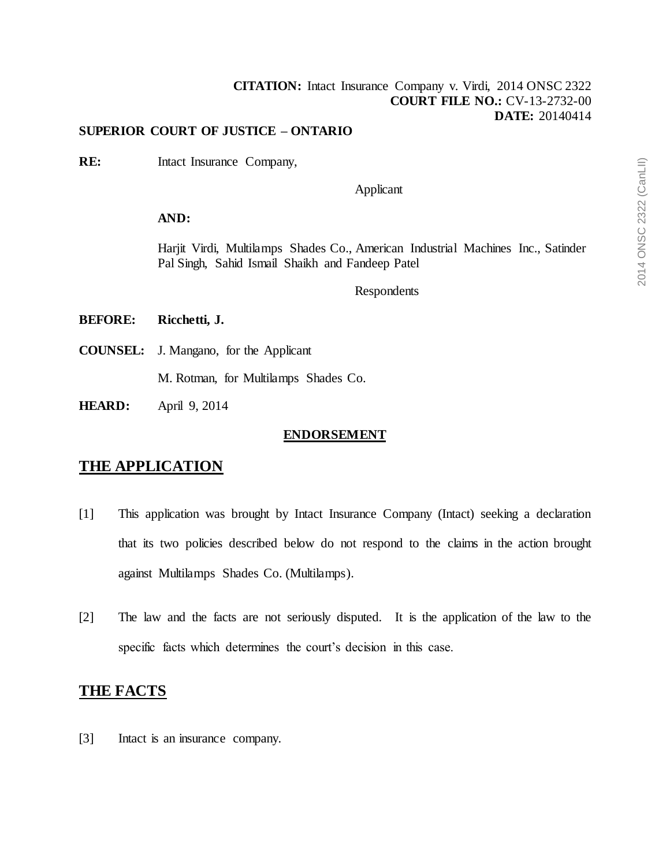## **[CITATION:](http://intra.judicialsecurity.jus.gov.on.ca/NeutralCitation/)** Intact Insurance Company v. Virdi, 2014 ONSC 2322 **COURT FILE NO.:** CV-13-2732-00 **DATE:** 20140414

#### **SUPERIOR COURT OF JUSTICE – ONTARIO**

**RE:** Intact Insurance Company,

Applicant

## **AND:**

Harjit Virdi, Multilamps Shades Co., American Industrial Machines Inc., Satinder Pal Singh, Sahid Ismail Shaikh and Fandeep Patel

#### Respondents

## **BEFORE: Ricchetti, J.**

**COUNSEL:** J. Mangano, for the Applicant

M. Rotman, for Multilamps Shades Co.

**HEARD:** April 9, 2014

#### **ENDORSEMENT**

## **THE APPLICATION**

- [1] This application was brought by Intact Insurance Company (Intact) seeking a declaration that its two policies described below do not respond to the claims in the action brought against Multilamps Shades Co. (Multilamps).
- [2] The law and the facts are not seriously disputed. It is the application of the law to the specific facts which determines the court's decision in this case.

## **THE FACTS**

[3] Intact is an insurance company.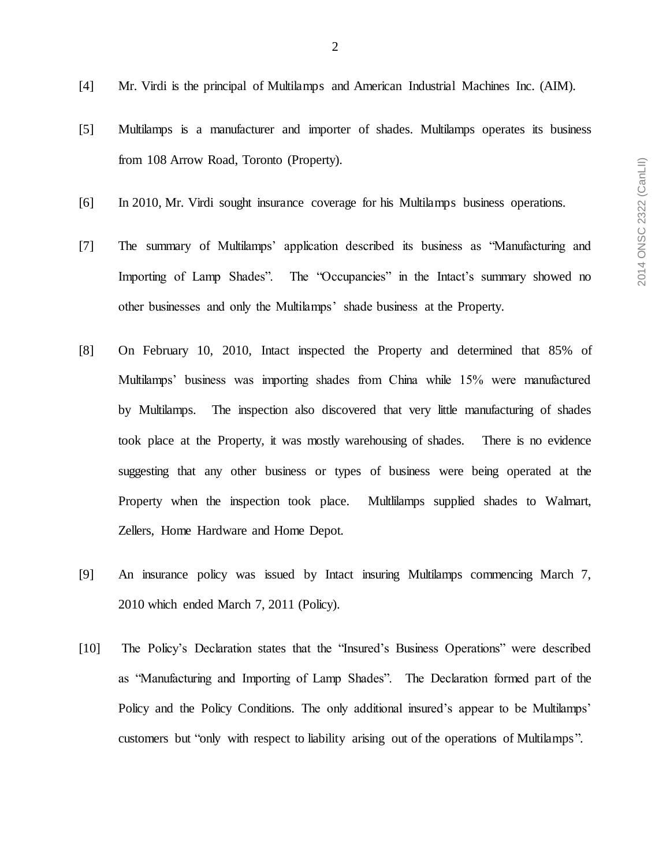- [4] Mr. Virdi is the principal of Multilamps and American Industrial Machines Inc. (AIM).
- [5] Multilamps is a manufacturer and importer of shades. Multilamps operates its business from 108 Arrow Road, Toronto (Property).
- [6] In 2010, Mr. Virdi sought insurance coverage for his Multilamps business operations.
- [7] The summary of Multilamps' application described its business as "Manufacturing and Importing of Lamp Shades". The "Occupancies" in the Intact's summary showed no other businesses and only the Multilamps' shade business at the Property.
- [8] On February 10, 2010, Intact inspected the Property and determined that 85% of Multilamps' business was importing shades from China while 15% were manufactured by Multilamps. The inspection also discovered that very little manufacturing of shades took place at the Property, it was mostly warehousing of shades. There is no evidence suggesting that any other business or types of business were being operated at the Property when the inspection took place. Multlilamps supplied shades to Walmart, Zellers, Home Hardware and Home Depot.
- [9] An insurance policy was issued by Intact insuring Multilamps commencing March 7, 2010 which ended March 7, 2011 (Policy).
- [10] The Policy's Declaration states that the "Insured's Business Operations" were described as "Manufacturing and Importing of Lamp Shades". The Declaration formed part of the Policy and the Policy Conditions. The only additional insured's appear to be Multilamps' customers but "only with respect to liability arising out of the operations of Multilamps".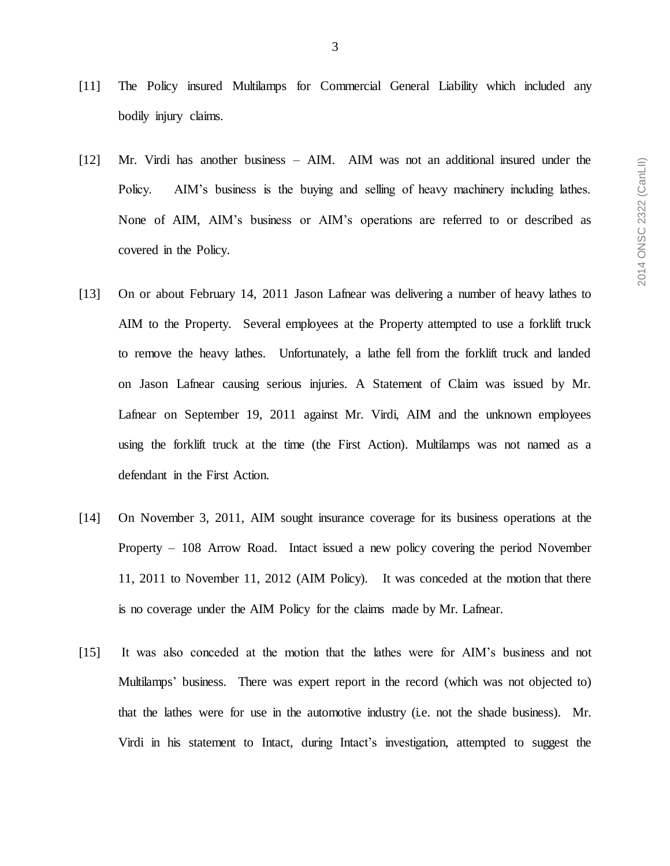- [11] The Policy insured Multilamps for Commercial General Liability which included any bodily injury claims.
- [12] Mr. Virdi has another business AIM. AIM was not an additional insured under the Policy. AIM's business is the buying and selling of heavy machinery including lathes. None of AIM, AIM's business or AIM's operations are referred to or described as covered in the Policy.
- [13] On or about February 14, 2011 Jason Lafnear was delivering a number of heavy lathes to AIM to the Property. Several employees at the Property attempted to use a forklift truck to remove the heavy lathes. Unfortunately, a lathe fell from the forklift truck and landed on Jason Lafnear causing serious injuries. A Statement of Claim was issued by Mr. Lafnear on September 19, 2011 against Mr. Virdi, AIM and the unknown employees using the forklift truck at the time (the First Action). Multilamps was not named as a defendant in the First Action.
- [14] On November 3, 2011, AIM sought insurance coverage for its business operations at the Property – 108 Arrow Road. Intact issued a new policy covering the period November 11, 2011 to November 11, 2012 (AIM Policy). It was conceded at the motion that there is no coverage under the AIM Policy for the claims made by Mr. Lafnear.
- [15] It was also conceded at the motion that the lathes were for AIM's business and not Multilamps' business. There was expert report in the record (which was not objected to) that the lathes were for use in the automotive industry (i.e. not the shade business). Mr. Virdi in his statement to Intact, during Intact's investigation, attempted to suggest the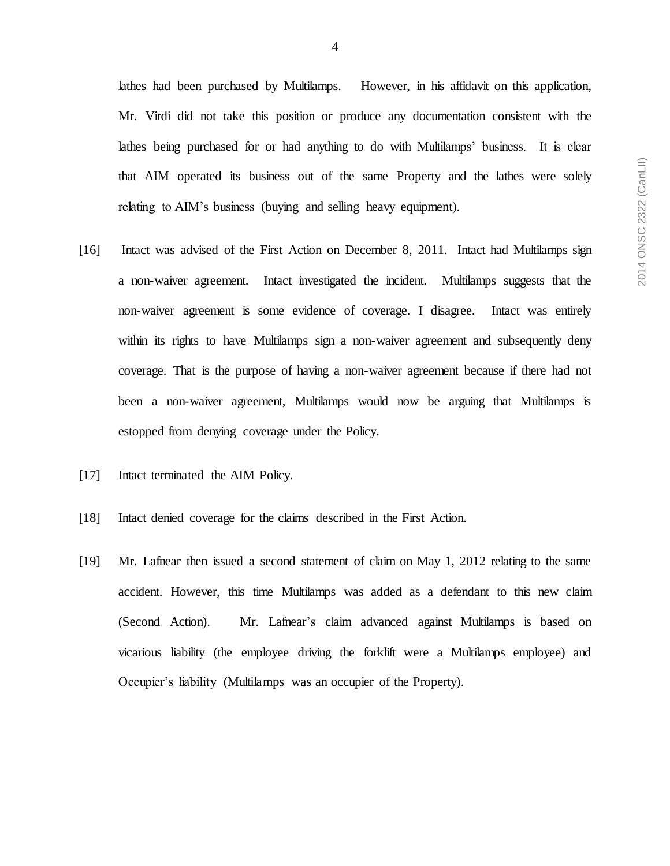lathes had been purchased by Multilamps. However, in his affidavit on this application, Mr. Virdi did not take this position or produce any documentation consistent with the lathes being purchased for or had anything to do with Multilamps' business. It is clear that AIM operated its business out of the same Property and the lathes were solely relating to AIM's business (buying and selling heavy equipment).

- [16] Intact was advised of the First Action on December 8, 2011. Intact had Multilamps sign a non-waiver agreement. Intact investigated the incident. Multilamps suggests that the non-waiver agreement is some evidence of coverage. I disagree. Intact was entirely within its rights to have Multilamps sign a non-waiver agreement and subsequently deny coverage. That is the purpose of having a non-waiver agreement because if there had not been a non-waiver agreement, Multilamps would now be arguing that Multilamps is estopped from denying coverage under the Policy.
- [17] Intact terminated the AIM Policy.
- [18] Intact denied coverage for the claims described in the First Action.
- [19] Mr. Lafnear then issued a second statement of claim on May 1, 2012 relating to the same accident. However, this time Multilamps was added as a defendant to this new claim (Second Action). Mr. Lafnear's claim advanced against Multilamps is based on vicarious liability (the employee driving the forklift were a Multilamps employee) and Occupier's liability (Multilamps was an occupier of the Property).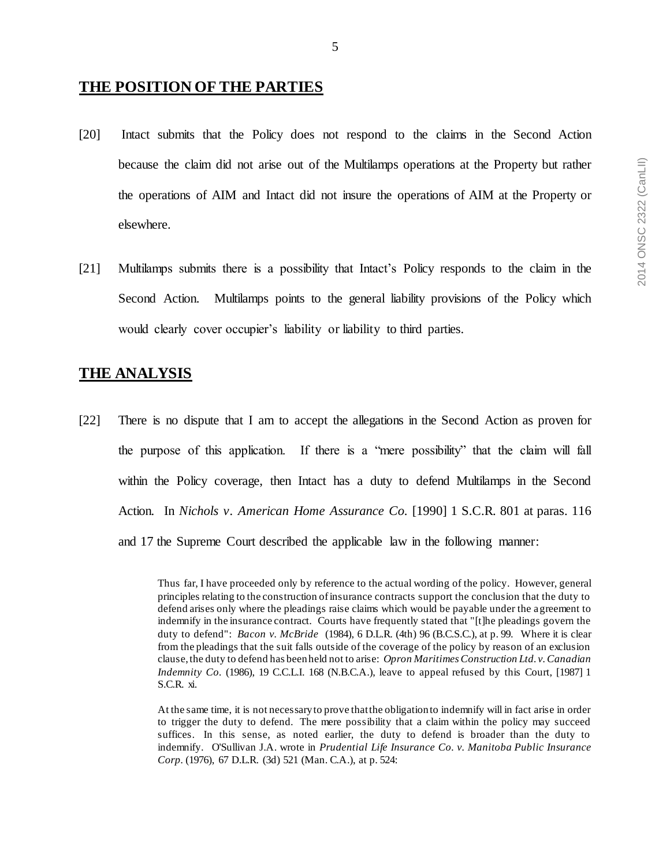## **THE POSITION OF THE PARTIES**

- [20] Intact submits that the Policy does not respond to the claims in the Second Action because the claim did not arise out of the Multilamps operations at the Property but rather the operations of AIM and Intact did not insure the operations of AIM at the Property or elsewhere.
- [21] Multilamps submits there is a possibility that Intact's Policy responds to the claim in the Second Action. Multilamps points to the general liability provisions of the Policy which would clearly cover occupier's liability or liability to third parties.

## **THE ANALYSIS**

[22] There is no dispute that I am to accept the allegations in the Second Action as proven for the purpose of this application. If there is a "mere possibility" that the claim will fall within the Policy coverage, then Intact has a duty to defend Multilamps in the Second Action. In *Nichols v. American Home Assurance Co.* [1990] 1 S.C.R. 801 at paras. 116 and 17 the Supreme Court described the applicable law in the following manner:

Thus far, I have proceeded only by reference to the actual wording of the policy. However, general principles relating to the construction of insurance contracts support the conclusion that the duty to defend arises only where the pleadings raise claims which would be payable under the agreement to indemnify in the insurance contract. Courts have frequently stated that "[t]he pleadings govern the duty to defend": *Bacon v. McBride* (1984), 6 D.L.R. (4th) 96 (B.C.S.C.), at p. 99. Where it is clear from the pleadings that the suit falls outside of the coverage of the policy by reason of an exclusion clause, the duty to defend has been held not to arise: *Opron Maritimes Construction Ltd. v. Canadian Indemnity Co.* (1986), 19 C.C.L.I. 168 (N.B.C.A.), leave to appeal refused by this Court, [1987] 1 S.C.R. xi.

At the same time, it is not necessary to prove that the obligation to indemnify will in fact arise in order to trigger the duty to defend. The mere possibility that a claim within the policy may succeed suffices. In this sense, as noted earlier, the duty to defend is broader than the duty to indemnify. O'Sullivan J.A. wrote in *Prudential Life Insurance Co. v. Manitoba Public Insurance Corp.* (1976), 67 D.L.R. (3d) 521 (Man. C.A.), at p. 524: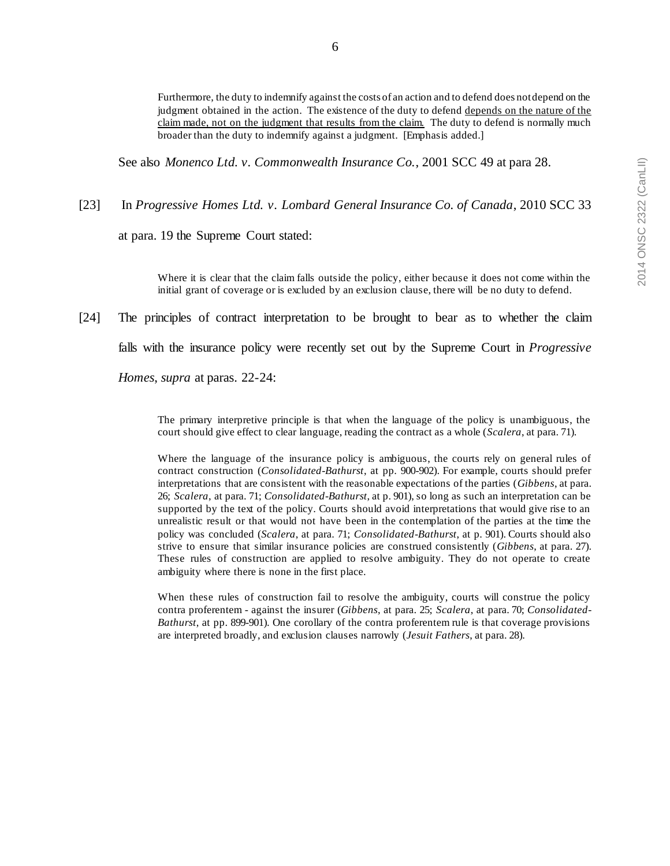6

Furthermore, the duty to indemnify against the costs of an action and to defend does not depend on the judgment obtained in the action. The existence of the duty to defend depends on the nature of the claim made, not on the judgment that results from the claim. The duty to defend is normally much broader than the duty to indemnify against a judgment. [Emphasis added.]

See also *Monenco Ltd. v. Commonwealth Insurance Co.*, 2001 SCC 49 at para 28.

[23] In *Progressive Homes Ltd. v. Lombard General Insurance Co. of Canada*, 2010 SCC 33

at para. 19 the Supreme Court stated:

Where it is clear that the claim falls outside the policy, either because it does not come within the initial grant of coverage or is excluded by an exclusion clause, there will be no duty to defend.

[24] The principles of contract interpretation to be brought to bear as to whether the claim

falls with the insurance policy were recently set out by the Supreme Court in *Progressive* 

*Homes*, *supra* at paras. 22-24:

The primary interpretive principle is that when the language of the policy is unambiguous, the court should give effect to clear language, reading the contract as a whole (*Scalera*, at para. 71).

Where the language of the insurance policy is ambiguous, the courts rely on general rules of contract construction (*Consolidated-Bathurst*, at pp. 900-902). For example, courts should prefer interpretations that are consistent with the reasonable expectations of the parties (*Gibbens*, at para. 26; *Scalera*, at para. 71; *Consolidated-Bathurst*, at p. 901), so long as such an interpretation can be supported by the text of the policy. Courts should avoid interpretations that would give rise to an unrealistic result or that would not have been in the contemplation of the parties at the time the policy was concluded (*Scalera*, at para. 71; *Consolidated-Bathurst*, at p. 901). Courts should also strive to ensure that similar insurance policies are construed consistently (*Gibbens*, at para. 27). These rules of construction are applied to resolve ambiguity. They do not operate to create ambiguity where there is none in the first place.

When these rules of construction fail to resolve the ambiguity, courts will construe the policy contra proferentem - against the insurer (*Gibbens*, at para. 25; *Scalera*, at para. 70; *Consolidated-Bathurst*, at pp. 899-901). One corollary of the contra proferentem rule is that coverage provisions are interpreted broadly, and exclusion clauses narrowly (*Jesuit Fathers*, at para. 28).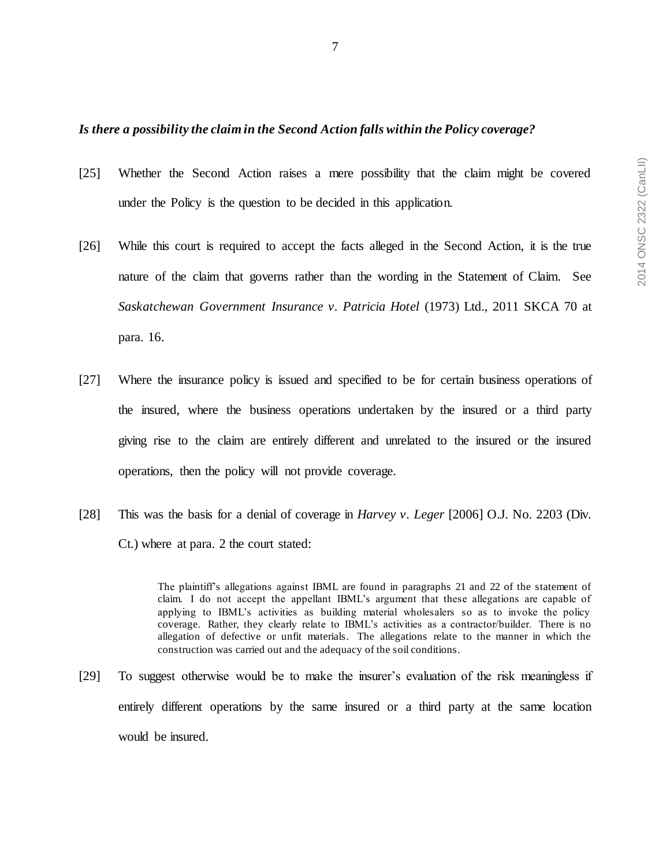#### *Is there a possibility the claim in the Second Action falls within the Policy coverage?*

- [25] Whether the Second Action raises a mere possibility that the claim might be covered under the Policy is the question to be decided in this application.
- [26] While this court is required to accept the facts alleged in the Second Action, it is the true nature of the claim that governs rather than the wording in the Statement of Claim. See *Saskatchewan Government Insurance v. Patricia Hotel* (1973) Ltd., 2011 SKCA 70 at para. 16.
- [27] Where the insurance policy is issued and specified to be for certain business operations of the insured, where the business operations undertaken by the insured or a third party giving rise to the claim are entirely different and unrelated to the insured or the insured operations, then the policy will not provide coverage.
- [28] This was the basis for a denial of coverage in *Harvey v. Leger* [2006] O.J. No. 2203 (Div. Ct.) where at para. 2 the court stated:

The plaintiff's allegations against IBML are found in paragraphs 21 and 22 of the statement of claim. I do not accept the appellant IBML's argument that these allegations are capable of applying to IBML's activities as building material wholesalers so as to invoke the policy coverage. Rather, they clearly relate to IBML's activities as a contractor/builder. There is no allegation of defective or unfit materials. The allegations relate to the manner in which the construction was carried out and the adequacy of the soil conditions.

[29] To suggest otherwise would be to make the insurer's evaluation of the risk meaningless if entirely different operations by the same insured or a third party at the same location would be insured.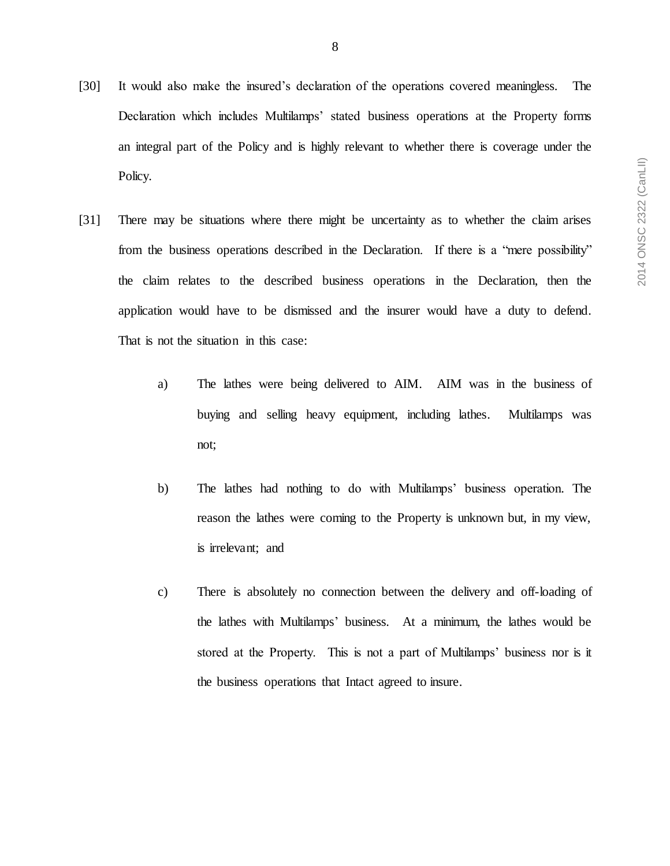- [30] It would also make the insured's declaration of the operations covered meaningless. The Declaration which includes Multilamps' stated business operations at the Property forms an integral part of the Policy and is highly relevant to whether there is coverage under the Policy.
- [31] There may be situations where there might be uncertainty as to whether the claim arises from the business operations described in the Declaration. If there is a "mere possibility" the claim relates to the described business operations in the Declaration, then the application would have to be dismissed and the insurer would have a duty to defend. That is not the situation in this case:
	- a) The lathes were being delivered to AIM. AIM was in the business of buying and selling heavy equipment, including lathes. Multilamps was not;
	- b) The lathes had nothing to do with Multilamps' business operation. The reason the lathes were coming to the Property is unknown but, in my view, is irrelevant; and
	- c) There is absolutely no connection between the delivery and off-loading of the lathes with Multilamps' business. At a minimum, the lathes would be stored at the Property. This is not a part of Multilamps' business nor is it the business operations that Intact agreed to insure.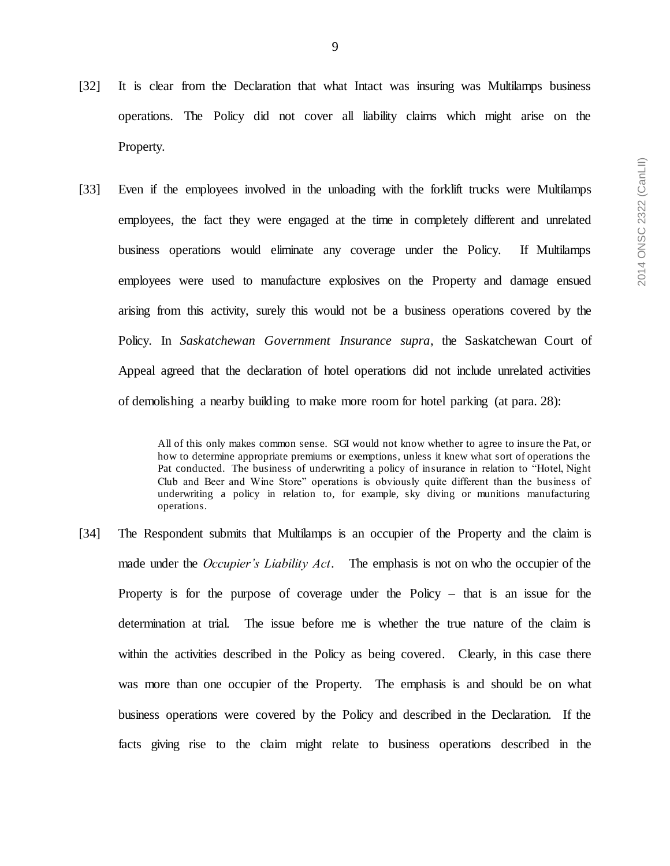- [32] It is clear from the Declaration that what Intact was insuring was Multilamps business operations. The Policy did not cover all liability claims which might arise on the Property.
- [33] Even if the employees involved in the unloading with the forklift trucks were Multilamps employees, the fact they were engaged at the time in completely different and unrelated business operations would eliminate any coverage under the Policy. If Multilamps employees were used to manufacture explosives on the Property and damage ensued arising from this activity, surely this would not be a business operations covered by the Policy. In *Saskatchewan Government Insurance supra*, the Saskatchewan Court of Appeal agreed that the declaration of hotel operations did not include unrelated activities of demolishing a nearby building to make more room for hotel parking (at para. 28):

All of this only makes common sense. SGI would not know whether to agree to insure the Pat, or how to determine appropriate premiums or exemptions, unless it knew what sort of operations the Pat conducted. The business of underwriting a policy of insurance in relation to "Hotel, Night Club and Beer and Wine Store" operations is obviously quite different than the business of underwriting a policy in relation to, for example, sky diving or munitions manufacturing operations.

[34] The Respondent submits that Multilamps is an occupier of the Property and the claim is made under the *Occupier's Liability Act*. The emphasis is not on who the occupier of the Property is for the purpose of coverage under the Policy – that is an issue for the determination at trial. The issue before me is whether the true nature of the claim is within the activities described in the Policy as being covered. Clearly, in this case there was more than one occupier of the Property. The emphasis is and should be on what business operations were covered by the Policy and described in the Declaration. If the facts giving rise to the claim might relate to business operations described in the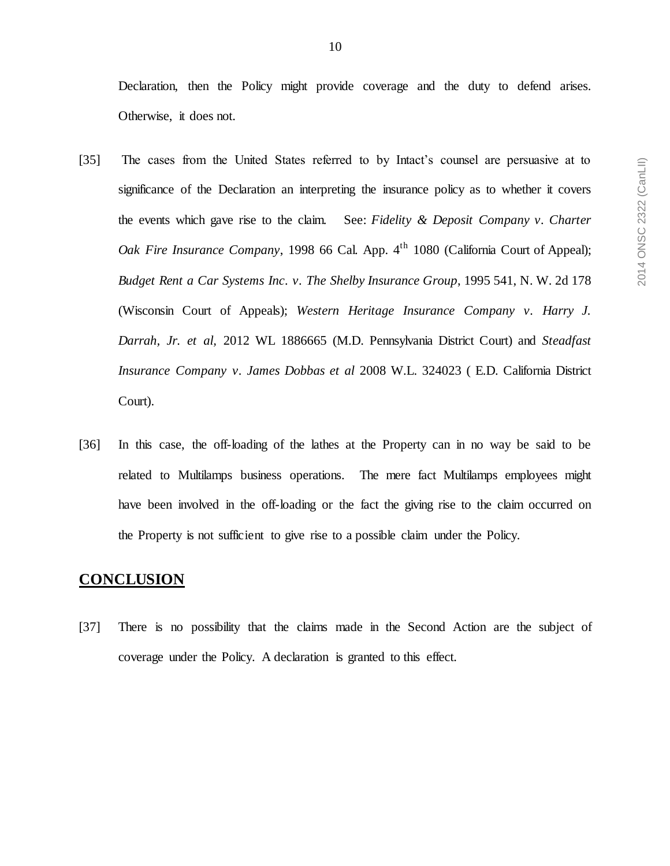Declaration, then the Policy might provide coverage and the duty to defend arises. Otherwise, it does not.

- [35] The cases from the United States referred to by Intact's counsel are persuasive at to significance of the Declaration an interpreting the insurance policy as to whether it covers the events which gave rise to the claim. See: *Fidelity & Deposit Company v. Charter Oak Fire Insurance Company*, 1998 66 Cal. App. 4<sup>th</sup> 1080 (California Court of Appeal); *Budget Rent a Car Systems Inc. v. The Shelby Insurance Group*, 1995 541, N. W. 2d 178 (Wisconsin Court of Appeals); *Western Heritage Insurance Company v. Harry J. Darrah, Jr. et al,* 2012 WL 1886665 (M.D. Pennsylvania District Court) and *Steadfast Insurance Company v. James Dobbas et al* 2008 W.L. 324023 ( E.D. California District Court).
- [36] In this case, the off-loading of the lathes at the Property can in no way be said to be related to Multilamps business operations. The mere fact Multilamps employees might have been involved in the off-loading or the fact the giving rise to the claim occurred on the Property is not sufficient to give rise to a possible claim under the Policy.

# **CONCLUSION**

[37] There is no possibility that the claims made in the Second Action are the subject of coverage under the Policy. A declaration is granted to this effect.